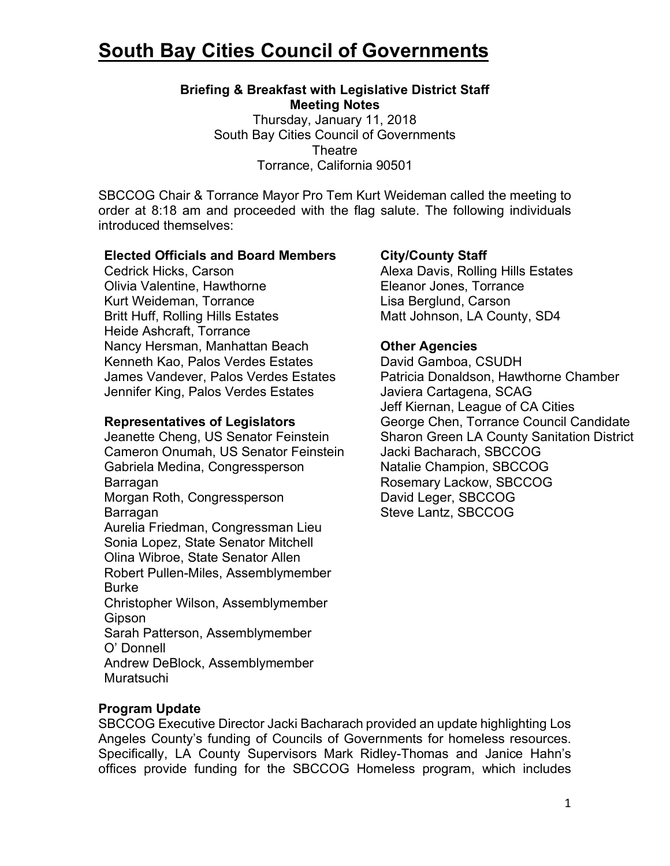# **South Bay Cities Council of Governments**

## **Briefing & Breakfast with Legislative District Staff Meeting Notes**

Thursday, January 11, 2018 South Bay Cities Council of Governments **Theatre** Torrance, California 90501

SBCCOG Chair & Torrance Mayor Pro Tem Kurt Weideman called the meeting to order at 8:18 am and proceeded with the flag salute. The following individuals introduced themselves:

#### **Elected Officials and Board Members**

Cedrick Hicks, Carson Olivia Valentine, Hawthorne Kurt Weideman, Torrance Britt Huff, Rolling Hills Estates Heide Ashcraft, Torrance Nancy Hersman, Manhattan Beach Kenneth Kao, Palos Verdes Estates James Vandever, Palos Verdes Estates Jennifer King, Palos Verdes Estates

#### **Representatives of Legislators**

Jeanette Cheng, US Senator Feinstein Cameron Onumah, US Senator Feinstein Gabriela Medina, Congressperson Barragan Morgan Roth, Congressperson Barragan Aurelia Friedman, Congressman Lieu Sonia Lopez, State Senator Mitchell Olina Wibroe, State Senator Allen Robert Pullen-Miles, Assemblymember Burke Christopher Wilson, Assemblymember Gipson Sarah Patterson, Assemblymember O' Donnell Andrew DeBlock, Assemblymember Muratsuchi

## **City/County Staff**

Alexa Davis, Rolling Hills Estates Eleanor Jones, Torrance Lisa Berglund, Carson Matt Johnson, LA County, SD4

## **Other Agencies**

David Gamboa, CSUDH Patricia Donaldson, Hawthorne Chamber Javiera Cartagena, SCAG Jeff Kiernan, League of CA Cities George Chen, Torrance Council Candidate Sharon Green LA County Sanitation District Jacki Bacharach, SBCCOG Natalie Champion, SBCCOG Rosemary Lackow, SBCCOG David Leger, SBCCOG Steve Lantz, SBCCOG

## **Program Update**

SBCCOG Executive Director Jacki Bacharach provided an update highlighting Los Angeles County's funding of Councils of Governments for homeless resources. Specifically, LA County Supervisors Mark Ridley-Thomas and Janice Hahn's offices provide funding for the SBCCOG Homeless program, which includes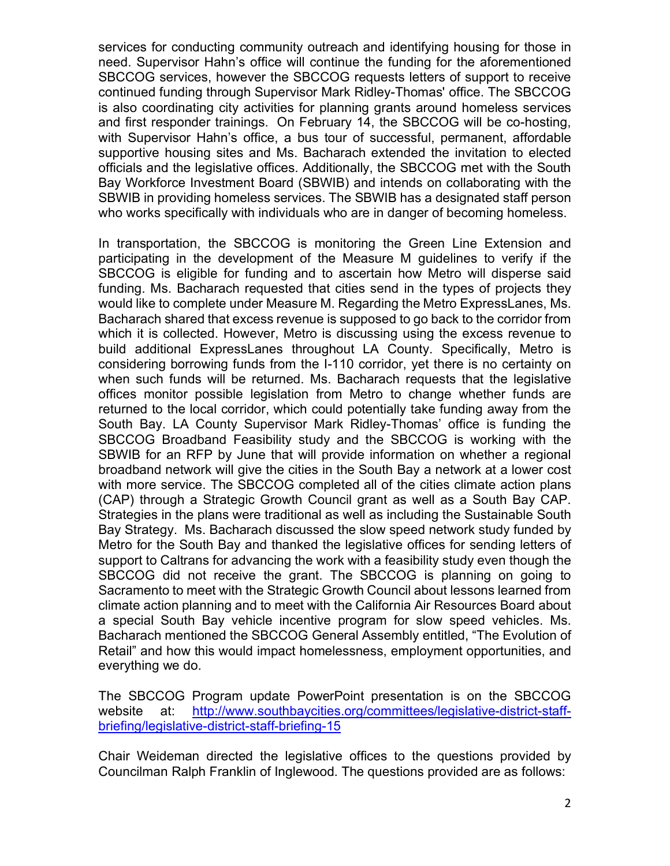services for conducting community outreach and identifying housing for those in need. Supervisor Hahn's office will continue the funding for the aforementioned SBCCOG services, however the SBCCOG requests letters of support to receive continued funding through Supervisor Mark Ridley-Thomas' office. The SBCCOG is also coordinating city activities for planning grants around homeless services and first responder trainings. On February 14, the SBCCOG will be co-hosting, with Supervisor Hahn's office, a bus tour of successful, permanent, affordable supportive housing sites and Ms. Bacharach extended the invitation to elected officials and the legislative offices. Additionally, the SBCCOG met with the South Bay Workforce Investment Board (SBWIB) and intends on collaborating with the SBWIB in providing homeless services. The SBWIB has a designated staff person who works specifically with individuals who are in danger of becoming homeless.

In transportation, the SBCCOG is monitoring the Green Line Extension and participating in the development of the Measure M guidelines to verify if the SBCCOG is eligible for funding and to ascertain how Metro will disperse said funding. Ms. Bacharach requested that cities send in the types of projects they would like to complete under Measure M. Regarding the Metro ExpressLanes, Ms. Bacharach shared that excess revenue is supposed to go back to the corridor from which it is collected. However, Metro is discussing using the excess revenue to build additional ExpressLanes throughout LA County. Specifically, Metro is considering borrowing funds from the I-110 corridor, yet there is no certainty on when such funds will be returned. Ms. Bacharach requests that the legislative offices monitor possible legislation from Metro to change whether funds are returned to the local corridor, which could potentially take funding away from the South Bay. LA County Supervisor Mark Ridley-Thomas' office is funding the SBCCOG Broadband Feasibility study and the SBCCOG is working with the SBWIB for an RFP by June that will provide information on whether a regional broadband network will give the cities in the South Bay a network at a lower cost with more service. The SBCCOG completed all of the cities climate action plans (CAP) through a Strategic Growth Council grant as well as a South Bay CAP. Strategies in the plans were traditional as well as including the Sustainable South Bay Strategy. Ms. Bacharach discussed the slow speed network study funded by Metro for the South Bay and thanked the legislative offices for sending letters of support to Caltrans for advancing the work with a feasibility study even though the SBCCOG did not receive the grant. The SBCCOG is planning on going to Sacramento to meet with the Strategic Growth Council about lessons learned from climate action planning and to meet with the California Air Resources Board about a special South Bay vehicle incentive program for slow speed vehicles. Ms. Bacharach mentioned the SBCCOG General Assembly entitled, "The Evolution of Retail" and how this would impact homelessness, employment opportunities, and everything we do.

The SBCCOG Program update PowerPoint presentation is on the SBCCOG website at: http://www.southbaycities.org/committees/legislative-district-staffbriefing/legislative-district-staff-briefing-15

Chair Weideman directed the legislative offices to the questions provided by Councilman Ralph Franklin of Inglewood. The questions provided are as follows: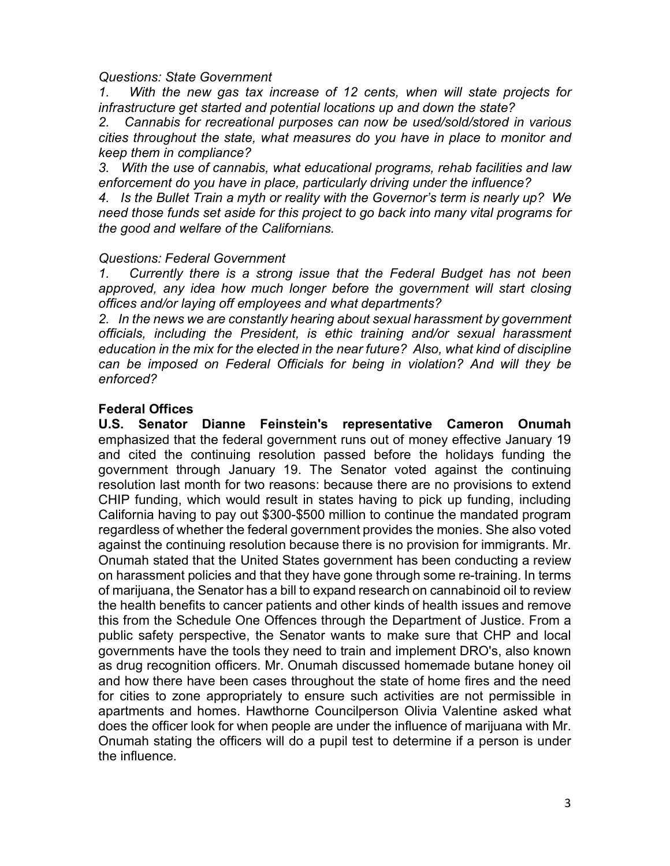#### *Questions: State Government*

*1. With the new gas tax increase of 12 cents, when will state projects for infrastructure get started and potential locations up and down the state?*

*2. Cannabis for recreational purposes can now be used/sold/stored in various cities throughout the state, what measures do you have in place to monitor and keep them in compliance?*

*3. With the use of cannabis, what educational programs, rehab facilities and law enforcement do you have in place, particularly driving under the influence?*

*4. Is the Bullet Train a myth or reality with the Governor's term is nearly up? We need those funds set aside for this project to go back into many vital programs for the good and welfare of the Californians.*

#### *Questions: Federal Government*

*1. Currently there is a strong issue that the Federal Budget has not been*  approved, any idea how much longer before the government will start closing *offices and/or laying off employees and what departments?*

*2. In the news we are constantly hearing about sexual harassment by government officials, including the President, is ethic training and/or sexual harassment education in the mix for the elected in the near future? Also, what kind of discipline can be imposed on Federal Officials for being in violation? And will they be enforced?*

## **Federal Offices**

**U.S. Senator Dianne Feinstein's representative Cameron Onumah**  emphasized that the federal government runs out of money effective January 19 and cited the continuing resolution passed before the holidays funding the government through January 19. The Senator voted against the continuing resolution last month for two reasons: because there are no provisions to extend CHIP funding, which would result in states having to pick up funding, including California having to pay out \$300-\$500 million to continue the mandated program regardless of whether the federal government provides the monies. She also voted against the continuing resolution because there is no provision for immigrants. Mr. Onumah stated that the United States government has been conducting a review on harassment policies and that they have gone through some re-training. In terms of marijuana, the Senator has a bill to expand research on cannabinoid oil to review the health benefits to cancer patients and other kinds of health issues and remove this from the Schedule One Offences through the Department of Justice. From a public safety perspective, the Senator wants to make sure that CHP and local governments have the tools they need to train and implement DRO's, also known as drug recognition officers. Mr. Onumah discussed homemade butane honey oil and how there have been cases throughout the state of home fires and the need for cities to zone appropriately to ensure such activities are not permissible in apartments and homes. Hawthorne Councilperson Olivia Valentine asked what does the officer look for when people are under the influence of marijuana with Mr. Onumah stating the officers will do a pupil test to determine if a person is under the influence.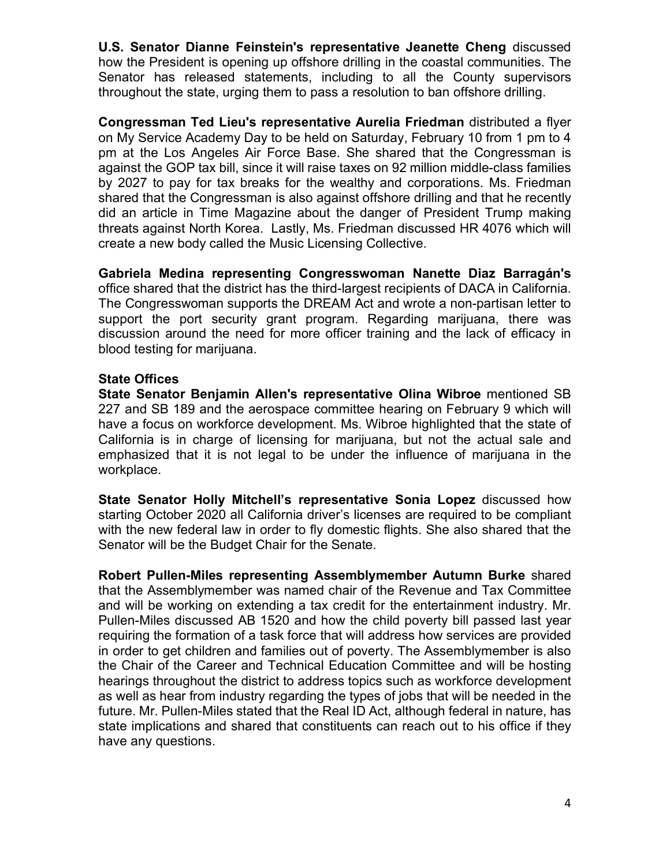**U.S. Senator Dianne Feinstein's representative Jeanette Cheng** discussed how the President is opening up offshore drilling in the coastal communities. The Senator has released statements, including to all the County supervisors throughout the state, urging them to pass a resolution to ban offshore drilling.

**Congressman Ted Lieu's representative Aurelia Friedman** distributed a flyer on My Service Academy Day to be held on Saturday, February 10 from 1 pm to 4 pm at the Los Angeles Air Force Base. She shared that the Congressman is against the GOP tax bill, since it will raise taxes on 92 million middle-class families by 2027 to pay for tax breaks for the wealthy and corporations. Ms. Friedman shared that the Congressman is also against offshore drilling and that he recently did an article in Time Magazine about the danger of President Trump making threats against North Korea. Lastly, Ms. Friedman discussed HR 4076 which will create a new body called the Music Licensing Collective.

**Gabriela Medina representing Congresswoman Nanette Diaz Barragán's**  office shared that the district has the third-largest recipients of DACA in California. The Congresswoman supports the DREAM Act and wrote a non-partisan letter to support the port security grant program. Regarding marijuana, there was discussion around the need for more officer training and the lack of efficacy in blood testing for marijuana.

## **State Offices**

**State Senator Benjamin Allen's representative Olina Wibroe** mentioned SB 227 and SB 189 and the aerospace committee hearing on February 9 which will have a focus on workforce development. Ms. Wibroe highlighted that the state of California is in charge of licensing for marijuana, but not the actual sale and emphasized that it is not legal to be under the influence of marijuana in the workplace.

**State Senator Holly Mitchell's representative Sonia Lopez** discussed how starting October 2020 all California driver's licenses are required to be compliant with the new federal law in order to fly domestic flights. She also shared that the Senator will be the Budget Chair for the Senate.

**Robert Pullen-Miles representing Assemblymember Autumn Burke** shared that the Assemblymember was named chair of the Revenue and Tax Committee and will be working on extending a tax credit for the entertainment industry. Mr. Pullen-Miles discussed AB 1520 and how the child poverty bill passed last year requiring the formation of a task force that will address how services are provided in order to get children and families out of poverty. The Assemblymember is also the Chair of the Career and Technical Education Committee and will be hosting hearings throughout the district to address topics such as workforce development as well as hear from industry regarding the types of jobs that will be needed in the future. Mr. Pullen-Miles stated that the Real ID Act, although federal in nature, has state implications and shared that constituents can reach out to his office if they have any questions.